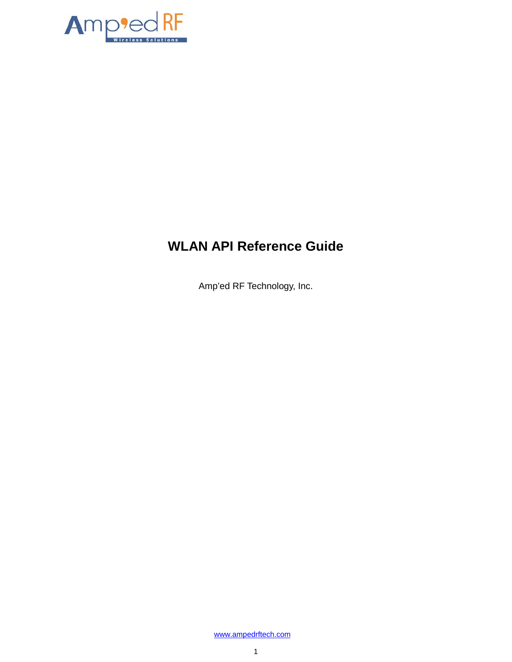

# **WLAN API Reference Guide**

Amp'ed RF Technology, Inc.

[www.ampedrftech.com](http://www.ampedrftech.com/)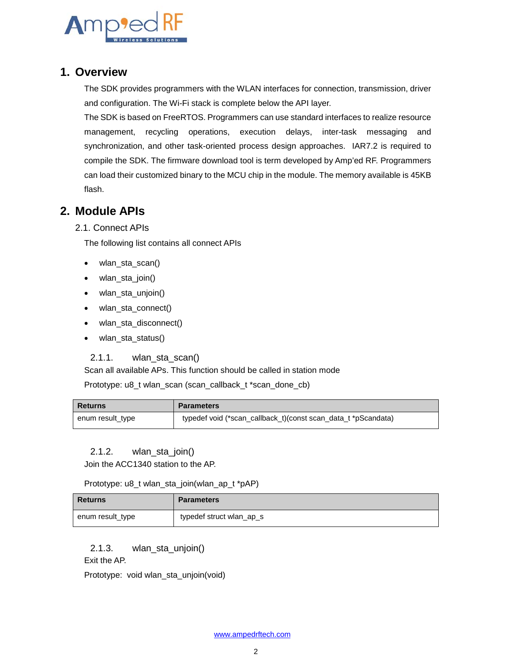

## **1. Overview**

The SDK provides programmers with the WLAN interfaces for connection, transmission, driver and configuration. The Wi-Fi stack is complete below the API layer.

The SDK is based on FreeRTOS. Programmers can use standard interfaces to realize resource management, recycling operations, execution delays, inter-task messaging and synchronization, and other task-oriented process design approaches. IAR7.2 is required to compile the SDK. The firmware download tool is term developed by Amp'ed RF. Programmers can load their customized binary to the MCU chip in the module. The memory available is 45KB flash.

# **2. Module APIs**

2.1. Connect APIs

The following list contains all connect APIs

- wlan\_sta\_scan()
- wlan\_sta\_join()
- wlan\_sta\_unjoin()
- wlan\_sta\_connect()
- wlan\_sta\_disconnect()
- wlan\_sta\_status()

#### 2.1.1. wlan\_sta\_scan()

Scan all available APs. This function should be called in station mode

Prototype: u8\_t wlan\_scan (scan\_callback\_t \*scan\_done\_cb)

| <b>Returns</b>   | <b>Parameters</b>                                             |
|------------------|---------------------------------------------------------------|
| enum result_type | typedef void (*scan_callback_t)(const scan_data_t *pScandata) |

#### 2.1.2. wlan\_sta\_join()

Join the ACC1340 station to the AP.

Prototype: u8\_t wlan\_sta\_join(wlan\_ap\_t \*pAP)

| Returns          | <b>Parameters</b>        |
|------------------|--------------------------|
| enum result_type | typedef struct wlan_ap_s |

2.1.3. wlan\_sta\_unjoin()

Exit the AP.

Prototype: void wlan\_sta\_unjoin(void)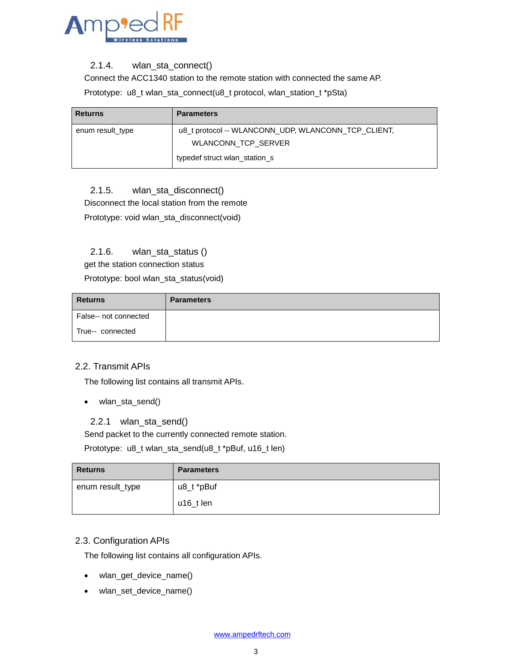

#### 2.1.4. wlan\_sta\_connect()

Connect the ACC1340 station to the remote station with connected the same AP.

Prototype: u8\_t wlan\_sta\_connect(u8\_t protocol, wlan\_station\_t \*pSta)

| <b>Returns</b>   | <b>Parameters</b>                                   |
|------------------|-----------------------------------------------------|
| enum result_type | u8_t protocol -- WLANCONN_UDP, WLANCONN_TCP_CLIENT, |
|                  | <b>WLANCONN TCP SERVER</b>                          |
|                  | typedef struct wlan station s                       |

#### 2.1.5. wlan\_sta\_disconnect()

Disconnect the local station from the remote

Prototype: void wlan\_sta\_disconnect(void)

#### 2.1.6. wlan\_sta\_status ()

get the station connection status

Prototype: bool wlan\_sta\_status(void)

| <b>Returns</b>        | <b>Parameters</b> |
|-----------------------|-------------------|
| False-- not connected |                   |
| True-- connected      |                   |

#### 2.2. Transmit APIs

The following list contains all transmit APIs.

• wlan\_sta\_send()

#### 2.2.1 wlan\_sta\_send()

Send packet to the currently connected remote station.

Prototype: u8\_t wlan\_sta\_send(u8\_t \*pBuf, u16\_t len)

| <b>Returns</b>   | <b>Parameters</b> |
|------------------|-------------------|
| enum result_type | u8_t *pBuf        |
|                  | $u16_t$ len       |

#### 2.3. Configuration APIs

The following list contains all configuration APIs.

- wlan\_get\_device\_name()
- wlan\_set\_device\_name()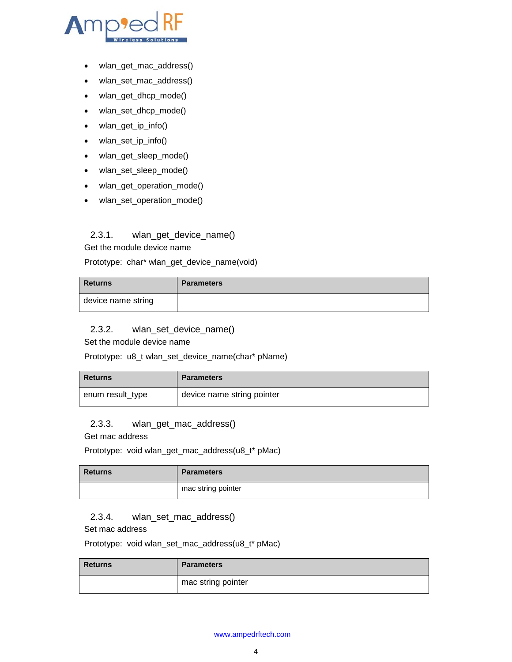- wlan\_get\_mac\_address()
- wlan\_set\_mac\_address()
- wlan\_get\_dhcp\_mode()
- wlan\_set\_dhcp\_mode()
- wlan\_get\_ip\_info()
- wlan\_set\_ip\_info()
- wlan\_get\_sleep\_mode()
- wlan\_set\_sleep\_mode()
- wlan\_get\_operation\_mode()
- wlan\_set\_operation\_mode()

#### 2.3.1. wlan\_get\_device\_name()

Get the module device name

Prototype: char\* wlan\_get\_device\_name(void)

| <b>Returns</b>     | <b>Parameters</b> |
|--------------------|-------------------|
| device name string |                   |

#### 2.3.2. wlan\_set\_device\_name()

Set the module device name

Prototype: u8\_t wlan\_set\_device\_name(char\* pName)

| <b>Returns</b>   | <b>Parameters</b>          |
|------------------|----------------------------|
| enum result_type | device name string pointer |

#### 2.3.3. wlan\_get\_mac\_address()

Get mac address

Prototype: void wlan\_get\_mac\_address(u8\_t\* pMac)

| <b>Returns</b> | <b>Parameters</b>  |
|----------------|--------------------|
|                | mac string pointer |

#### 2.3.4. wlan\_set\_mac\_address()

Set mac address

Prototype: void wlan\_set\_mac\_address(u8\_t\* pMac)

| <b>Returns</b> | <b>Parameters</b>  |
|----------------|--------------------|
|                | mac string pointer |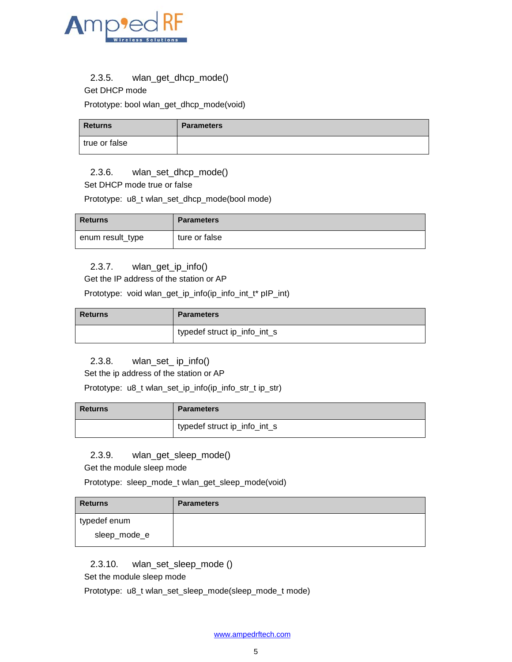

#### 2.3.5. wlan\_get\_dhcp\_mode()

Get DHCP mode

Prototype: bool wlan\_get\_dhcp\_mode(void)

| <b>Returns</b> | <b>Parameters</b> |
|----------------|-------------------|
| true or false  |                   |

#### 2.3.6. wlan\_set\_dhcp\_mode()

Set DHCP mode true or false

Prototype: u8\_t wlan\_set\_dhcp\_mode(bool mode)

| <b>Returns</b>   | <b>Parameters</b> |
|------------------|-------------------|
| enum result_type | ture or false     |

#### 2.3.7. wlan\_get\_ip\_info()

Get the IP address of the station or AP

Prototype: void wlan\_get\_ip\_info(ip\_info\_int\_t\* pIP\_int)

| <b>Returns</b> | <b>Parameters</b>            |
|----------------|------------------------------|
|                | typedef struct ip_info_int_s |

#### 2.3.8. wlan\_set\_ ip\_info()

Set the ip address of the station or AP

Prototype: u8\_t wlan\_set\_ip\_info(ip\_info\_str\_t ip\_str)

| <b>Returns</b> | <b>Parameters</b>            |
|----------------|------------------------------|
|                | typedef struct ip_info_int_s |

#### 2.3.9. wlan\_get\_sleep\_mode()

Get the module sleep mode

Prototype: sleep\_mode\_t wlan\_get\_sleep\_mode(void)

| <b>Returns</b> | <b>Parameters</b> |
|----------------|-------------------|
| typedef enum   |                   |
| sleep_mode_e   |                   |

2.3.10. wlan\_set\_sleep\_mode ()

Set the module sleep mode

Prototype: u8\_t wlan\_set\_sleep\_mode(sleep\_mode\_t mode)

[www.ampedrftech.com](http://www.ampedrftech.com/)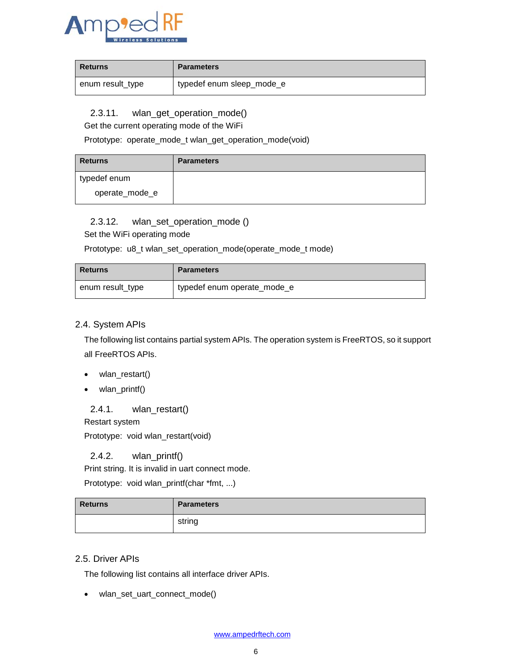

| <b>Returns</b>   | <b>Parameters</b>         |
|------------------|---------------------------|
| enum result_type | typedef enum sleep_mode_e |

2.3.11. wlan\_get\_operation\_mode()

Get the current operating mode of the WiFi

Prototype: operate\_mode\_t wlan\_get\_operation\_mode(void)

| <b>Returns</b> | <b>Parameters</b> |
|----------------|-------------------|
| typedef enum   |                   |
| operate_mode_e |                   |

#### 2.3.12. wlan\_set\_operation\_mode ()

Set the WiFi operating mode

Prototype: u8\_t wlan\_set\_operation\_mode(operate\_mode\_t mode)

| l Returns        | <b>Parameters</b>           |
|------------------|-----------------------------|
| enum result_type | typedef enum operate_mode_e |

#### 2.4. System APIs

The following list contains partial system APIs. The operation system is FreeRTOS, so it support all FreeRTOS APIs.

- wlan\_restart()
- wlan\_printf()

2.4.1. wlan\_restart()

Restart system

Prototype: void wlan\_restart(void)

#### 2.4.2. wlan\_printf()

Print string. It is invalid in uart connect mode.

Prototype: void wlan\_printf(char \*fmt, ...)

| <b>Returns</b> | <b>Parameters</b> |
|----------------|-------------------|
|                | string            |

#### 2.5. Driver APIs

The following list contains all interface driver APIs.

• wlan\_set\_uart\_connect\_mode()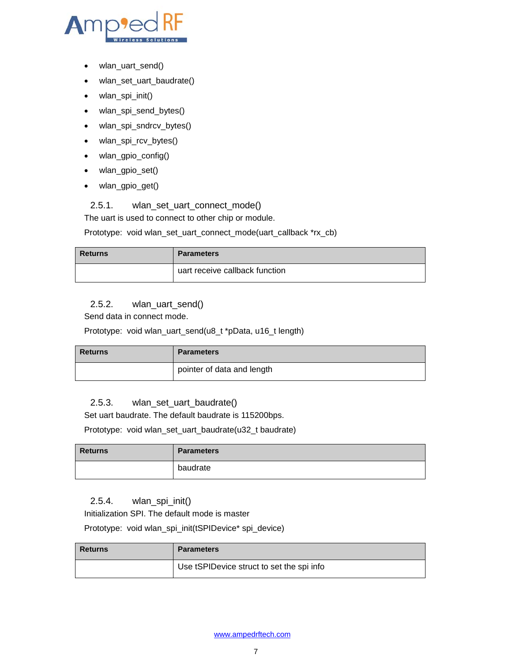

- wlan\_uart\_send()
- wlan\_set\_uart\_baudrate()
- wlan\_spi\_init()
- wlan\_spi\_send\_bytes()
- wlan\_spi\_sndrcv\_bytes()
- wlan\_spi\_rcv\_bytes()
- wlan\_gpio\_config()
- wlan\_gpio\_set()
- wlan\_gpio\_get()

#### 2.5.1. wlan\_set\_uart\_connect\_mode()

The uart is used to connect to other chip or module.

Prototype: void wlan\_set\_uart\_connect\_mode(uart\_callback \*rx\_cb)

| <b>Returns</b> | <b>Parameters</b>              |
|----------------|--------------------------------|
|                | uart receive callback function |

#### 2.5.2. wlan\_uart\_send()

Send data in connect mode.

Prototype: void wlan\_uart\_send(u8\_t \*pData, u16\_t length)

| <b>Returns</b> | <b>Parameters</b>          |
|----------------|----------------------------|
|                | pointer of data and length |

#### 2.5.3. wlan\_set\_uart\_baudrate()

Set uart baudrate. The default baudrate is 115200bps.

Prototype: void wlan\_set\_uart\_baudrate(u32\_t baudrate)

| <b>Returns</b> | <b>Parameters</b> |
|----------------|-------------------|
|                | baudrate          |

### 2.5.4. wlan\_spi\_init()

Initialization SPI. The default mode is master

Prototype: void wlan\_spi\_init(tSPIDevice\* spi\_device)

| <b>Returns</b> | <b>Parameters</b>                         |
|----------------|-------------------------------------------|
|                | Use tSPIDevice struct to set the spi info |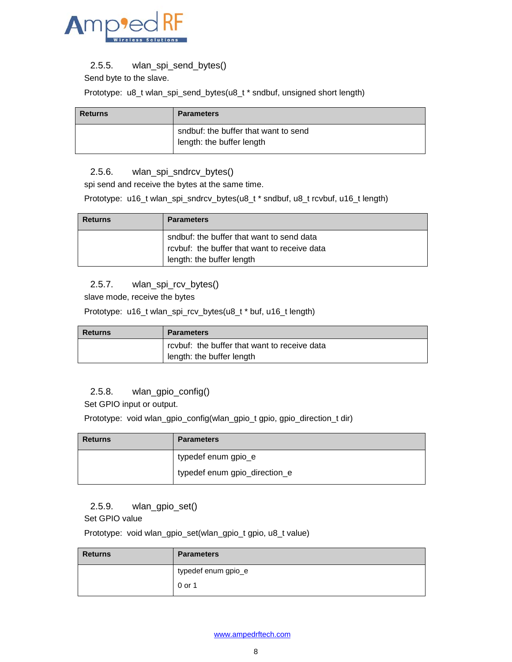

2.5.5. wlan\_spi\_send\_bytes()

Send byte to the slave.

Prototype: u8\_t wlan\_spi\_send\_bytes(u8\_t \* sndbuf, unsigned short length)

| <b>Returns</b> | <b>Parameters</b>                                                 |
|----------------|-------------------------------------------------------------------|
|                | sndbuf: the buffer that want to send<br>length: the buffer length |

#### 2.5.6. wlan\_spi\_sndrcv\_bytes()

spi send and receive the bytes at the same time.

Prototype: u16\_t wlan\_spi\_sndrcv\_bytes(u8\_t \* sndbuf, u8\_t rcvbuf, u16\_t length)

| <b>Returns</b> | <b>Parameters</b>                            |
|----------------|----------------------------------------------|
|                | sndbuf: the buffer that want to send data    |
|                | rcvbuf: the buffer that want to receive data |
|                | length: the buffer length                    |

#### 2.5.7. wlan\_spi\_rcv\_bytes()

slave mode, receive the bytes

Prototype: u16\_t wlan\_spi\_rcv\_bytes(u8\_t \* buf, u16\_t length)

| Returns | <b>Parameters</b>                            |
|---------|----------------------------------------------|
|         | rcvbuf: the buffer that want to receive data |
|         | length: the buffer length                    |

#### 2.5.8. wlan\_gpio\_config()

Set GPIO input or output.

Prototype: void wlan\_gpio\_config(wlan\_gpio\_t gpio, gpio\_direction\_t dir)

| <b>Returns</b> | <b>Parameters</b>             |
|----------------|-------------------------------|
|                | typedef enum gpio_e           |
|                | typedef enum gpio_direction_e |

#### 2.5.9. wlan\_gpio\_set()

Set GPIO value

Prototype: void wlan\_gpio\_set(wlan\_gpio\_t gpio, u8\_t value)

| <b>Returns</b> | <b>Parameters</b>   |
|----------------|---------------------|
|                | typedef enum gpio_e |
|                | 0 or 1              |

[www.ampedrftech.com](http://www.ampedrftech.com/)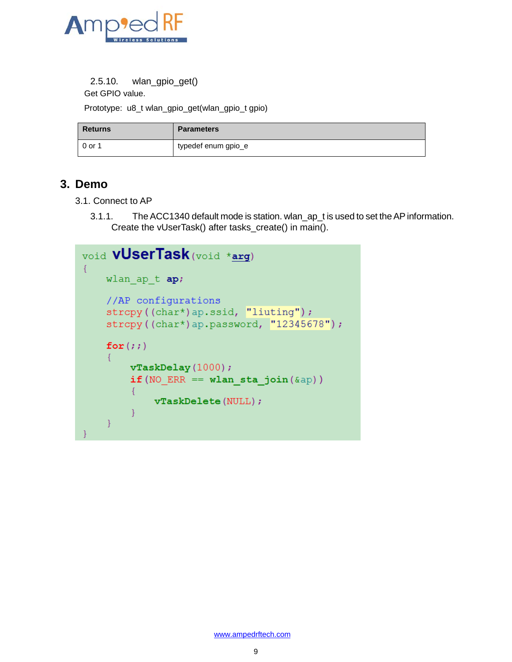

```
2.5.10. wlan_gpio_get()
```
Get GPIO value.

Prototype: u8\_t wlan\_gpio\_get(wlan\_gpio\_t gpio)

| Returns | <b>Parameters</b>   |
|---------|---------------------|
| 0 or 1  | typedef enum gpio_e |

# **3. Demo**

- 3.1. Connect to AP
	- 3.1.1. The ACC1340 default mode is station. wlan\_ap\_t is used to set the AP information. Create the vUserTask() after tasks\_create() in main().

```
void vUserTask (void *arg)
\left\{ \right.wlan ap t ap;
    //AP configurations
    strcpy((char*)ap.ssid, "liuting");
    strcpy((char*)ap.password, "12345678");
    for (ii)\left\{ \right.vTaskDelay(1000);if (NO ERR == wlan sta join (\&ap))
         \{vTaskDelete(NULL);
         ₹
    \mathcal{E}
```